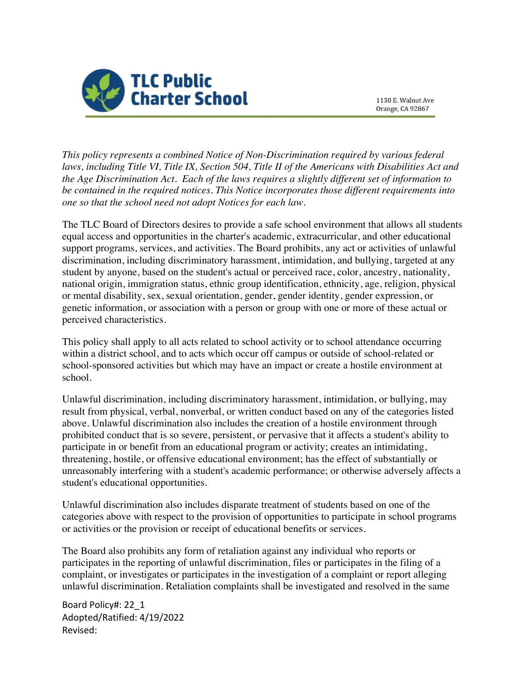

1130 E. Walnut Ave Orange, CA 92867

*This policy represents a combined Notice of Non-Discrimination required by various federal laws, including Title VI, Title IX, Section 504, Title II of the Americans with Disabilities Act and the Age Discrimination Act. Each of the laws requires a slightly different set of information to be contained in the required notices. This Notice incorporates those different requirements into one so that the school need not adopt Notices for each law.*

The TLC Board of Directors desires to provide a safe school environment that allows all students equal access and opportunities in the charter's academic, extracurricular, and other educational support programs, services, and activities. The Board prohibits, any act or activities of unlawful discrimination, including discriminatory harassment, intimidation, and bullying, targeted at any student by anyone, based on the student's actual or perceived race, color, ancestry, nationality, national origin, immigration status, ethnic group identification, ethnicity, age, religion, physical or mental disability, sex, sexual orientation, gender, gender identity, gender expression, or genetic information, or association with a person or group with one or more of these actual or perceived characteristics.

This policy shall apply to all acts related to school activity or to school attendance occurring within a district school, and to acts which occur off campus or outside of school-related or school-sponsored activities but which may have an impact or create a hostile environment at school.

Unlawful discrimination, including discriminatory harassment, intimidation, or bullying, may result from physical, verbal, nonverbal, or written conduct based on any of the categories listed above. Unlawful discrimination also includes the creation of a hostile environment through prohibited conduct that is so severe, persistent, or pervasive that it affects a student's ability to participate in or benefit from an educational program or activity; creates an intimidating, threatening, hostile, or offensive educational environment; has the effect of substantially or unreasonably interfering with a student's academic performance; or otherwise adversely affects a student's educational opportunities.

Unlawful discrimination also includes disparate treatment of students based on one of the categories above with respect to the provision of opportunities to participate in school programs or activities or the provision or receipt of educational benefits or services.

The Board also prohibits any form of retaliation against any individual who reports or participates in the reporting of unlawful discrimination, files or participates in the filing of a complaint, or investigates or participates in the investigation of a complaint or report alleging unlawful discrimination. Retaliation complaints shall be investigated and resolved in the same

Board Policy#: 22\_1 Adopted/Ratified: 4/19/2022 Revised: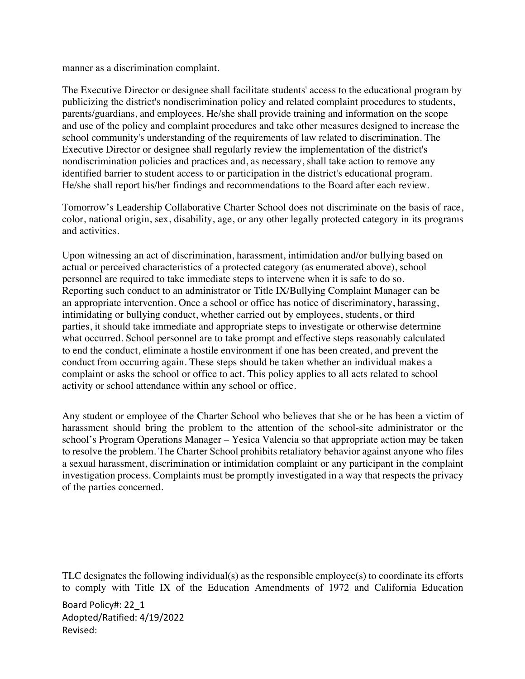manner as a discrimination complaint.

The Executive Director or designee shall facilitate students' access to the educational program by publicizing the district's nondiscrimination policy and related complaint procedures to students, parents/guardians, and employees. He/she shall provide training and information on the scope and use of the policy and complaint procedures and take other measures designed to increase the school community's understanding of the requirements of law related to discrimination. The Executive Director or designee shall regularly review the implementation of the district's nondiscrimination policies and practices and, as necessary, shall take action to remove any identified barrier to student access to or participation in the district's educational program. He/she shall report his/her findings and recommendations to the Board after each review.

Tomorrow's Leadership Collaborative Charter School does not discriminate on the basis of race, color, national origin, sex, disability, age, or any other legally protected category in its programs and activities.

Upon witnessing an act of discrimination, harassment, intimidation and/or bullying based on actual or perceived characteristics of a protected category (as enumerated above), school personnel are required to take immediate steps to intervene when it is safe to do so. Reporting such conduct to an administrator or Title IX/Bullying Complaint Manager can be an appropriate intervention. Once a school or office has notice of discriminatory, harassing, intimidating or bullying conduct, whether carried out by employees, students, or third parties, it should take immediate and appropriate steps to investigate or otherwise determine what occurred. School personnel are to take prompt and effective steps reasonably calculated to end the conduct, eliminate a hostile environment if one has been created, and prevent the conduct from occurring again. These steps should be taken whether an individual makes a complaint or asks the school or office to act. This policy applies to all acts related to school activity or school attendance within any school or office.

Any student or employee of the Charter School who believes that she or he has been a victim of harassment should bring the problem to the attention of the school-site administrator or the school's Program Operations Manager – Yesica Valencia so that appropriate action may be taken to resolve the problem. The Charter School prohibits retaliatory behavior against anyone who files a sexual harassment, discrimination or intimidation complaint or any participant in the complaint investigation process. Complaints must be promptly investigated in a way that respects the privacy of the parties concerned.

TLC designates the following individual(s) as the responsible employee(s) to coordinate its efforts to comply with Title IX of the Education Amendments of 1972 and California Education

Board Policy#: 22\_1 Adopted/Ratified: 4/19/2022 Revised: